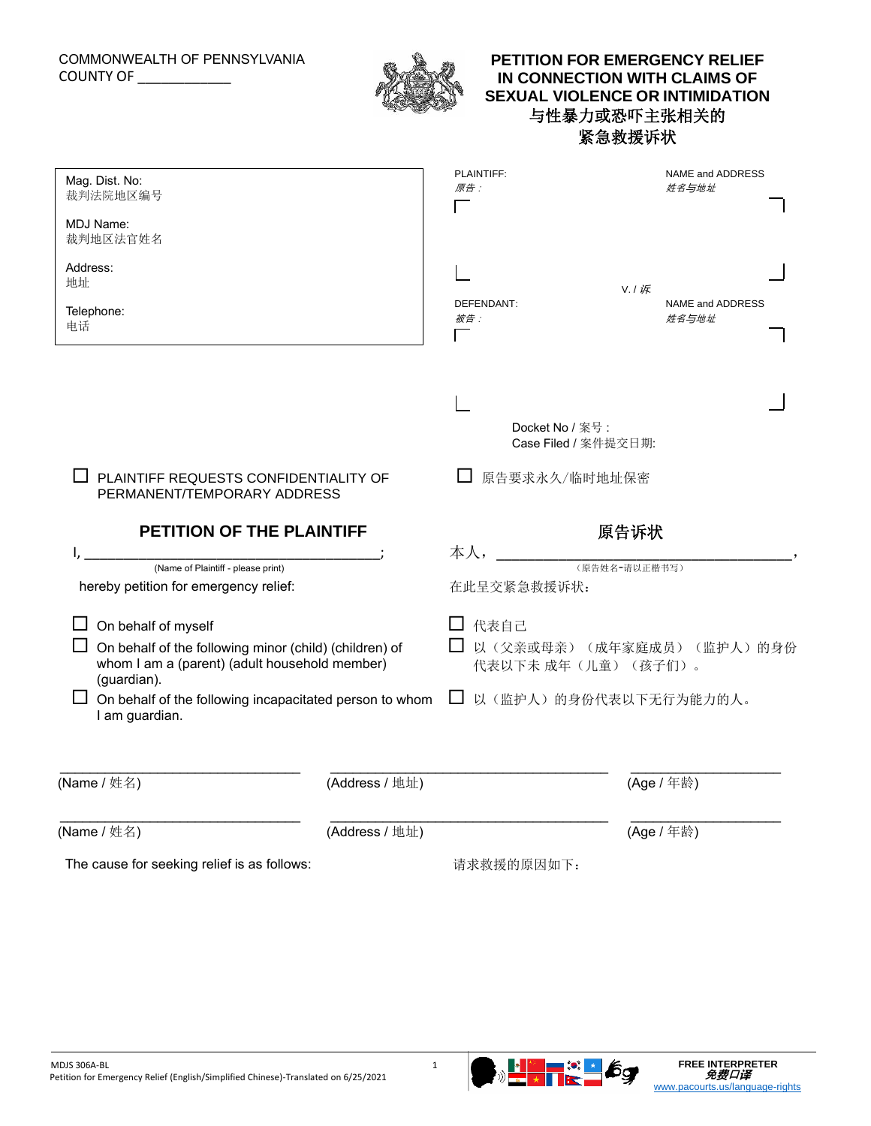## COMMONWEALTH OF PENNSYLVANIA COUNTY OF \_\_\_\_\_\_\_\_\_\_\_\_



# **PETITION FOR EMERGENCY RELIEF IN CONNECTION WITH CLAIMS OF SEXUAL VIOLENCE OR INTIMIDATION** 与性暴力或恐吓主张相关的 紧急救援诉状

| Mag. Dist. No:<br>裁判法院地区编号                                                                                             |                | PLAINTIFF:<br>原告:                        | NAME and ADDRESS<br>姓名与地址      |
|------------------------------------------------------------------------------------------------------------------------|----------------|------------------------------------------|--------------------------------|
| MDJ Name:<br>裁判地区法官姓名                                                                                                  |                |                                          |                                |
| Address:<br>地址                                                                                                         |                |                                          | V. / 诉                         |
| Telephone:<br>电话                                                                                                       |                | DEFENDANT:<br>被告:                        | NAME and ADDRESS<br>姓名与地址      |
|                                                                                                                        |                | Docket No / 案号 :<br>Case Filed / 案件提交日期: |                                |
| PLAINTIFF REQUESTS CONFIDENTIALITY OF<br>PERMANENT/TEMPORARY ADDRESS<br>PETITION OF THE PLAINTIFF                      |                | 原告要求永久/临时地址保密                            |                                |
|                                                                                                                        |                | 原告诉状                                     |                                |
| (Name of Plaintiff - please print)                                                                                     |                | 本人,                                      | (原告姓名-请以正楷书写)                  |
|                                                                                                                        |                |                                          |                                |
| hereby petition for emergency relief:                                                                                  |                | 在此呈交紧急救援诉状:                              |                                |
| On behalf of myself                                                                                                    |                | □ 代表自己                                   |                                |
| On behalf of the following minor (child) (children) of<br>whom I am a (parent) (adult household member)<br>(guardian). |                | 代表以下未 成年(儿童)(孩子们)。                       | □ 以 (父亲或母亲) (成年家庭成员) (监护人) 的身份 |
| On behalf of the following incapacitated person to whom<br>I am guardian.                                              |                | ப                                        | 以(监护人)的身份代表以下无行为能力的人。          |
| (Name / 姓名)                                                                                                            | (Address / 地址) |                                          | (Age / 年龄)                     |
| (Name / 姓名)                                                                                                            | (Address / 地址) |                                          | (Age / 年龄)                     |